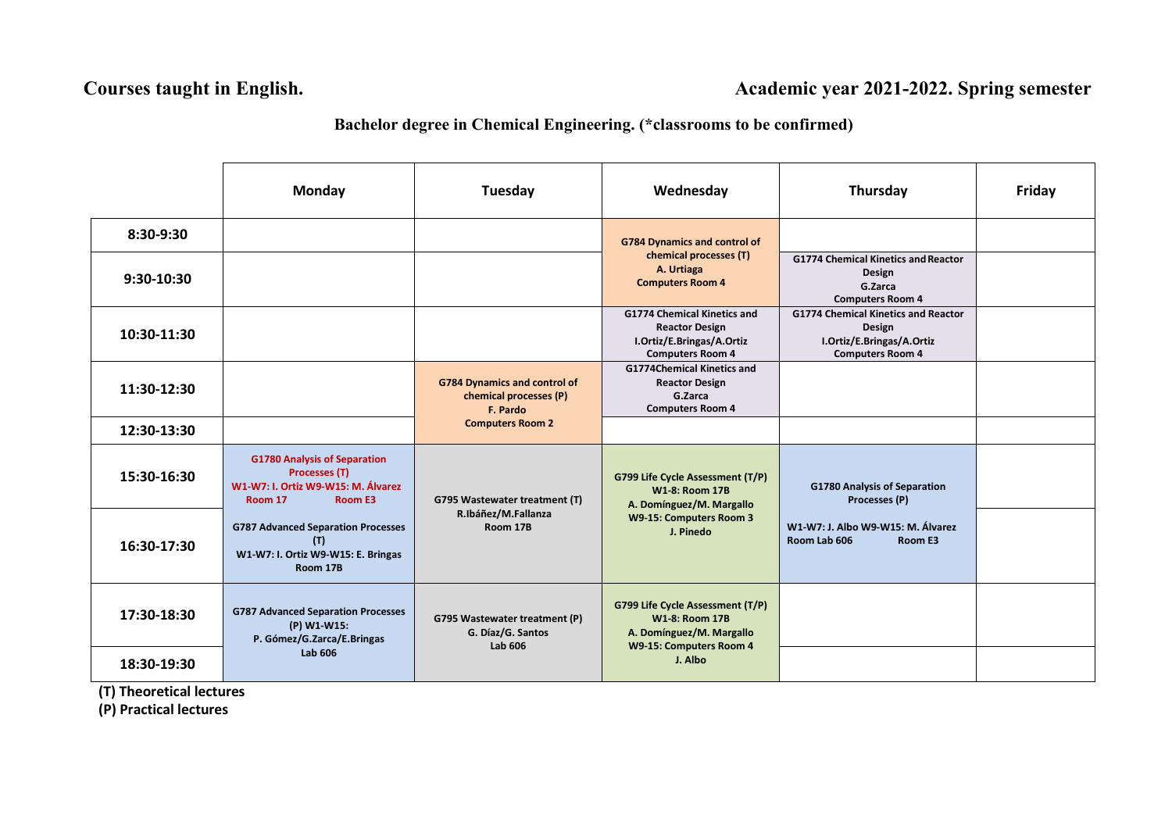## **Courses taught in English. Academic year 2021-2022. Spring semester**

## **Bachelor degree in Chemical Engineering. (\*classrooms to be confirmed)**

|                           | <b>Monday</b>                                                                                                    | Tuesday                                                                   | Wednesday                                                                                                                     | Thursday                                                                                                     | Friday |
|---------------------------|------------------------------------------------------------------------------------------------------------------|---------------------------------------------------------------------------|-------------------------------------------------------------------------------------------------------------------------------|--------------------------------------------------------------------------------------------------------------|--------|
| 8:30-9:30<br>$9:30-10:30$ |                                                                                                                  |                                                                           | <b>G784 Dynamics and control of</b><br>chemical processes (T)<br>A. Urtiaga<br><b>Computers Room 4</b>                        | <b>G1774 Chemical Kinetics and Reactor</b><br>Design<br>G.Zarca<br><b>Computers Room 4</b>                   |        |
| 10:30-11:30               |                                                                                                                  |                                                                           | <b>G1774 Chemical Kinetics and</b><br><b>Reactor Design</b><br>I.Ortiz/E.Bringas/A.Ortiz<br><b>Computers Room 4</b>           | <b>G1774 Chemical Kinetics and Reactor</b><br>Design<br>I.Ortiz/E.Bringas/A.Ortiz<br><b>Computers Room 4</b> |        |
| 11:30-12:30               |                                                                                                                  | <b>G784 Dynamics and control of</b><br>chemical processes (P)<br>F. Pardo | <b>G1774Chemical Kinetics and</b><br><b>Reactor Design</b><br>G.Zarca<br><b>Computers Room 4</b>                              |                                                                                                              |        |
| 12:30-13:30               |                                                                                                                  | <b>Computers Room 2</b>                                                   |                                                                                                                               |                                                                                                              |        |
| 15:30-16:30               | <b>G1780 Analysis of Separation</b><br>Processes (T)<br>W1-W7: I. Ortiz W9-W15: M. Álvarez<br>Room 17<br>Room E3 | G795 Wastewater treatment (T)<br>R.Ibáñez/M.Fallanza<br>Room 17B          | G799 Life Cycle Assessment (T/P)<br><b>W1-8: Room 17B</b><br>A. Domínguez/M. Margallo<br>W9-15: Computers Room 3<br>J. Pinedo | <b>G1780 Analysis of Separation</b><br>Processes (P)                                                         |        |
| 16:30-17:30               | <b>G787 Advanced Separation Processes</b><br>(T)<br>W1-W7: I. Ortiz W9-W15: E. Bringas<br>Room 17B               |                                                                           |                                                                                                                               | W1-W7: J. Albo W9-W15: M. Álvarez<br>Room Lab 606<br>Room E3                                                 |        |
| 17:30-18:30               | <b>G787 Advanced Separation Processes</b><br>(P) W1 W15:<br>P. Gómez/G.Zarca/E.Bringas<br><b>Lab 606</b>         | <b>G795 Wastewater treatment (P)</b><br>G. Díaz/G. Santos<br>Lab 606      | G799 Life Cycle Assessment (T/P)<br><b>W1-8: Room 17B</b><br>A. Domínguez/M. Margallo<br>W9-15: Computers Room 4<br>J. Albo   |                                                                                                              |        |
| 18:30-19:30               |                                                                                                                  |                                                                           |                                                                                                                               |                                                                                                              |        |

**(T) Theoretical lectures**

**(P) Practical lectures**